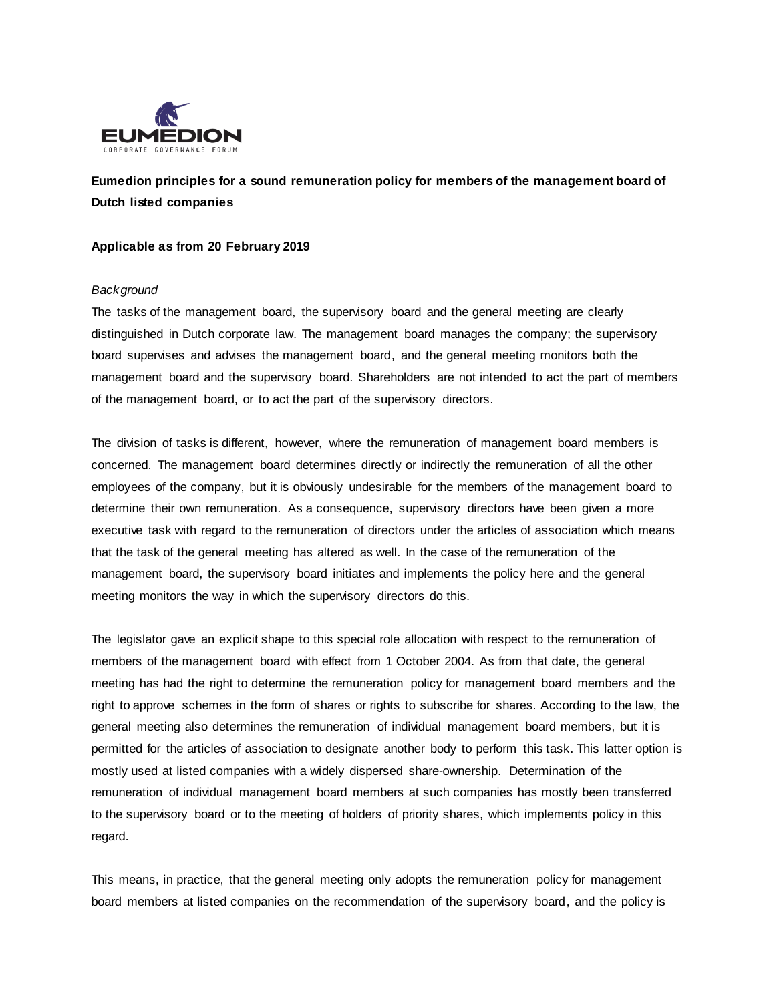

**Eumedion principles for a sound remuneration policy for members of the management board of Dutch listed companies**

### **Applicable as from 20 February 2019**

#### *Background*

The tasks of the management board, the supervisory board and the general meeting are clearly distinguished in Dutch corporate law. The management board manages the company; the supervisory board supervises and advises the management board, and the general meeting monitors both the management board and the supervisory board. Shareholders are not intended to act the part of members of the management board, or to act the part of the supervisory directors.

The division of tasks is different, however, where the remuneration of management board members is concerned. The management board determines directly or indirectly the remuneration of all the other employees of the company, but it is obviously undesirable for the members of the management board to determine their own remuneration. As a consequence, supervisory directors have been given a more executive task with regard to the remuneration of directors under the articles of association which means that the task of the general meeting has altered as well. In the case of the remuneration of the management board, the supervisory board initiates and implements the policy here and the general meeting monitors the way in which the supervisory directors do this.

The legislator gave an explicit shape to this special role allocation with respect to the remuneration of members of the management board with effect from 1 October 2004. As from that date, the general meeting has had the right to determine the remuneration policy for management board members and the right to approve schemes in the form of shares or rights to subscribe for shares. According to the law, the general meeting also determines the remuneration of individual management board members, but it is permitted for the articles of association to designate another body to perform this task. This latter option is mostly used at listed companies with a widely dispersed share-ownership. Determination of the remuneration of individual management board members at such companies has mostly been transferred to the supervisory board or to the meeting of holders of priority shares, which implements policy in this regard.

This means, in practice, that the general meeting only adopts the remuneration policy for management board members at listed companies on the recommendation of the supervisory board, and the policy is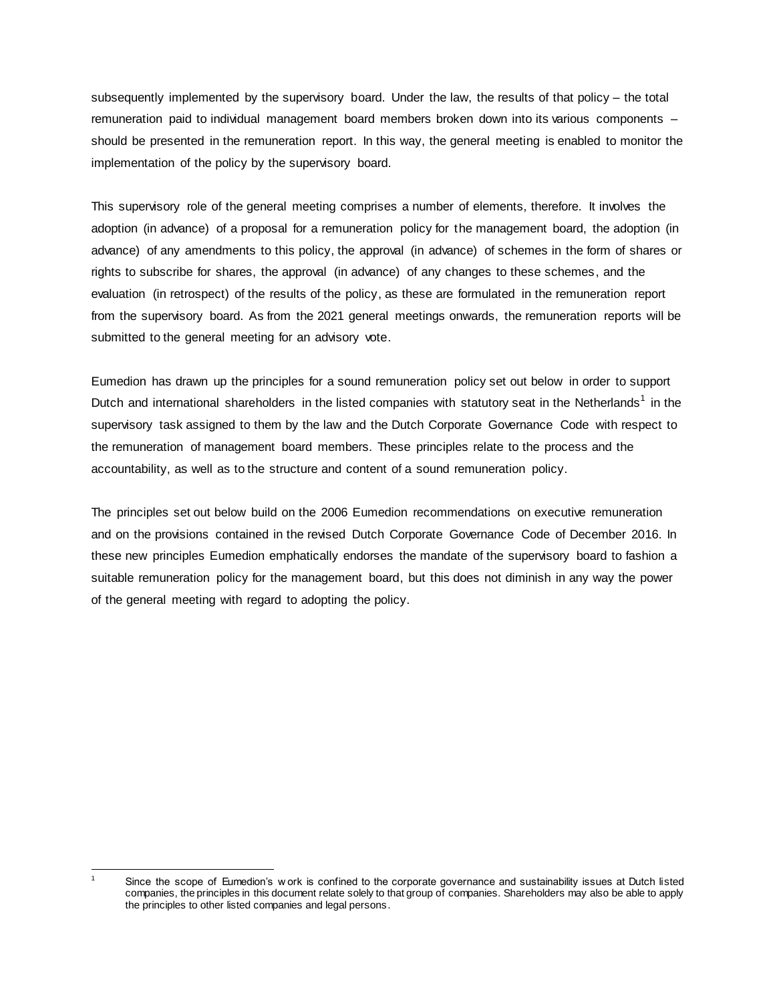subsequently implemented by the supervisory board. Under the law, the results of that policy – the total remuneration paid to individual management board members broken down into its various components – should be presented in the remuneration report. In this way, the general meeting is enabled to monitor the implementation of the policy by the supervisory board.

This supervisory role of the general meeting comprises a number of elements, therefore. It involves the adoption (in advance) of a proposal for a remuneration policy for the management board, the adoption (in advance) of any amendments to this policy, the approval (in advance) of schemes in the form of shares or rights to subscribe for shares, the approval (in advance) of any changes to these schemes, and the evaluation (in retrospect) of the results of the policy, as these are formulated in the remuneration report from the supervisory board. As from the 2021 general meetings onwards, the remuneration reports will be submitted to the general meeting for an advisory vote.

Eumedion has drawn up the principles for a sound remuneration policy set out below in order to support Dutch and international shareholders in the listed companies with statutory seat in the Netherlands<sup>1</sup> in the supervisory task assigned to them by the law and the Dutch Corporate Governance Code with respect to the remuneration of management board members. These principles relate to the process and the accountability, as well as to the structure and content of a sound remuneration policy.

The principles set out below build on the 2006 Eumedion recommendations on executive remuneration and on the provisions contained in the revised Dutch Corporate Governance Code of December 2016. In these new principles Eumedion emphatically endorses the mandate of the supervisory board to fashion a suitable remuneration policy for the management board, but this does not diminish in any way the power of the general meeting with regard to adopting the policy.

l Since the scope of Eumedion's w ork is confined to the corporate governance and sustainability issues at Dutch listed companies, the principles in this document relate solely to that group of companies. Shareholders may also be able to apply the principles to other listed companies and legal persons.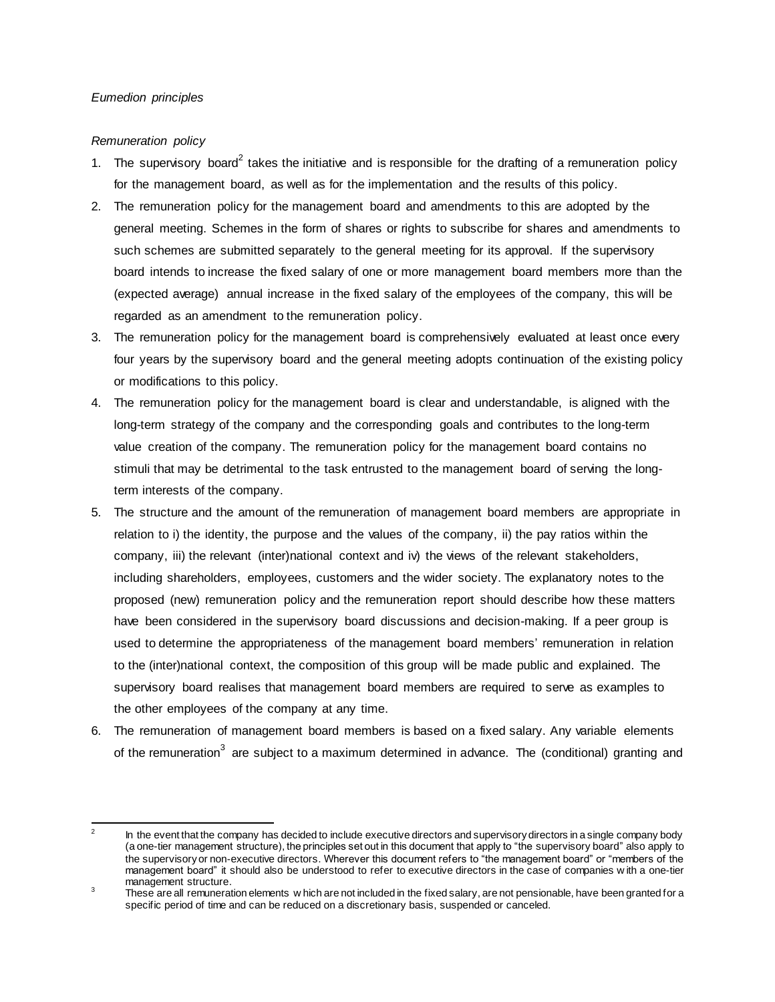# *Eumedion principles*

# *Remuneration policy*

- 1. The supervisory board<sup>2</sup> takes the initiative and is responsible for the drafting of a remuneration policy for the management board, as well as for the implementation and the results of this policy.
- 2. The remuneration policy for the management board and amendments to this are adopted by the general meeting. Schemes in the form of shares or rights to subscribe for shares and amendments to such schemes are submitted separately to the general meeting for its approval. If the supervisory board intends to increase the fixed salary of one or more management board members more than the (expected average) annual increase in the fixed salary of the employees of the company, this will be regarded as an amendment to the remuneration policy.
- 3. The remuneration policy for the management board is comprehensively evaluated at least once every four years by the supervisory board and the general meeting adopts continuation of the existing policy or modifications to this policy.
- 4. The remuneration policy for the management board is clear and understandable, is aligned with the long-term strategy of the company and the corresponding goals and contributes to the long-term value creation of the company. The remuneration policy for the management board contains no stimuli that may be detrimental to the task entrusted to the management board of serving the longterm interests of the company.
- 5. The structure and the amount of the remuneration of management board members are appropriate in relation to i) the identity, the purpose and the values of the company, ii) the pay ratios within the company, iii) the relevant (inter)national context and iv) the views of the relevant stakeholders, including shareholders, employees, customers and the wider society. The explanatory notes to the proposed (new) remuneration policy and the remuneration report should describe how these matters have been considered in the supervisory board discussions and decision-making. If a peer group is used to determine the appropriateness of the management board members' remuneration in relation to the (inter)national context, the composition of this group will be made public and explained. The supervisory board realises that management board members are required to serve as examples to the other employees of the company at any time.
- 6. The remuneration of management board members is based on a fixed salary. Any variable elements of the remuneration<sup>3</sup> are subject to a maximum determined in advance. The (conditional) granting and

 $\frac{1}{2}$ In the event that the company has decided to include executive directors and supervisory directors in a single company body (a one-tier management structure), the principles set out in this document that apply to "the supervisory board" also apply to the supervisory or non-executive directors. Wherever this document refers to "the management board" or "members of the management board" it should also be understood to refer to executive directors in the case of companies w ith a one-tier management structure.

 $3 \text{ T}$  These are all remuneration elements w hich are not included in the fixed salary, are not pensionable, have been granted for a specific period of time and can be reduced on a discretionary basis, suspended or canceled.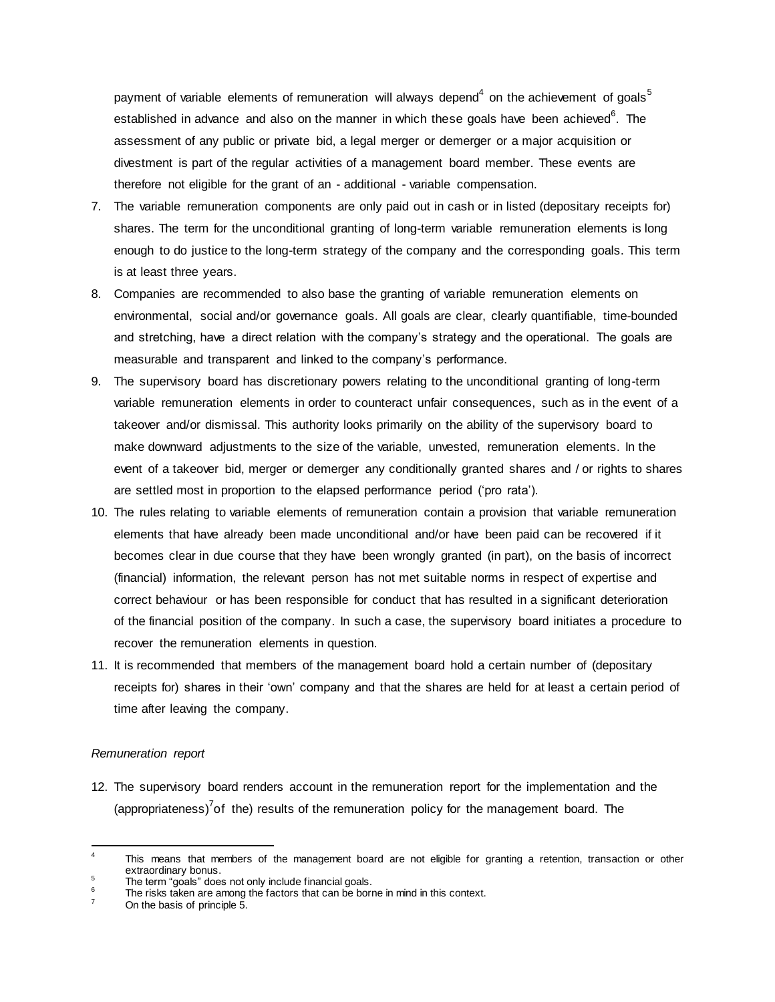payment of variable elements of remuneration will always depend<sup>4</sup> on the achievement of goals<sup>5</sup> established in advance and also on the manner in which these goals have been achieved $6$ . The assessment of any public or private bid, a legal merger or demerger or a major acquisition or divestment is part of the regular activities of a management board member. These events are therefore not eligible for the grant of an - additional - variable compensation.

- 7. The variable remuneration components are only paid out in cash or in listed (depositary receipts for) shares. The term for the unconditional granting of long-term variable remuneration elements is long enough to do justice to the long-term strategy of the company and the corresponding goals. This term is at least three years.
- 8. Companies are recommended to also base the granting of variable remuneration elements on environmental, social and/or governance goals. All goals are clear, clearly quantifiable, time-bounded and stretching, have a direct relation with the company's strategy and the operational. The goals are measurable and transparent and linked to the company's performance.
- 9. The supervisory board has discretionary powers relating to the unconditional granting of long-term variable remuneration elements in order to counteract unfair consequences, such as in the event of a takeover and/or dismissal. This authority looks primarily on the ability of the supervisory board to make downward adjustments to the size of the variable, unvested, remuneration elements. In the event of a takeover bid, merger or demerger any conditionally granted shares and / or rights to shares are settled most in proportion to the elapsed performance period ('pro rata').
- 10. The rules relating to variable elements of remuneration contain a provision that variable remuneration elements that have already been made unconditional and/or have been paid can be recovered if it becomes clear in due course that they have been wrongly granted (in part), on the basis of incorrect (financial) information, the relevant person has not met suitable norms in respect of expertise and correct behaviour or has been responsible for conduct that has resulted in a significant deterioration of the financial position of the company. In such a case, the supervisory board initiates a procedure to recover the remuneration elements in question.
- 11. It is recommended that members of the management board hold a certain number of (depositary receipts for) shares in their 'own' company and that the shares are held for at least a certain period of time after leaving the company.

#### *Remuneration report*

l

12. The supervisory board renders account in the remuneration report for the implementation and the (appropriateness)<sup>7</sup> of the) results of the remuneration policy for the management board. The

This means that members of the management board are not eligible for granting a retention, transaction or other extraordinary bonus.

<sup>&</sup>lt;sup>5</sup> The term "goals" does not only include financial goals.

The risks taken are among the factors that can be borne in mind in this context.

On the basis of principle 5.